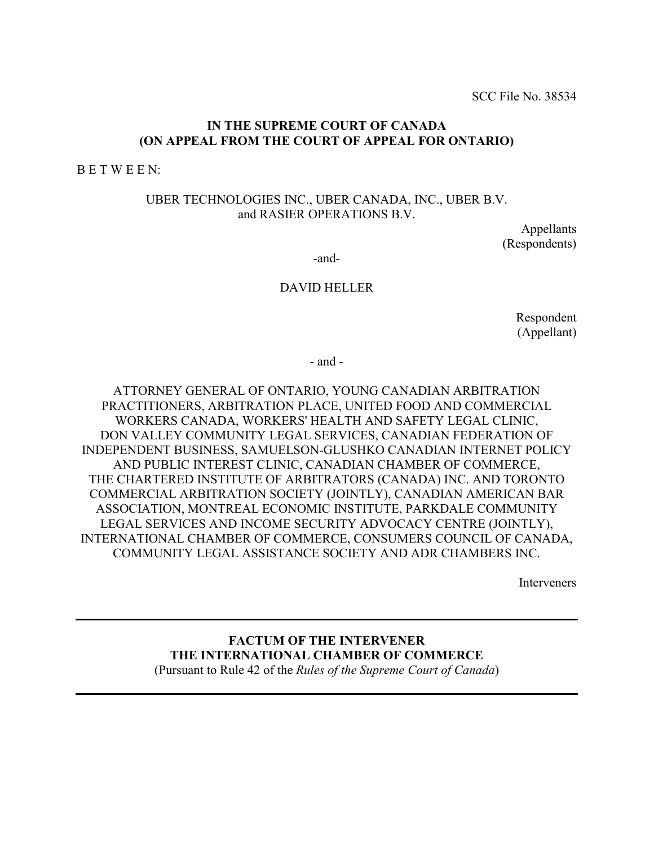SCC File No. 38534

### **IN THE SUPREME COURT OF CANADA (ON APPEAL FROM THE COURT OF APPEAL FOR ONTARIO)**

B E T W E E N:

### UBER TECHNOLOGIES INC., UBER CANADA, INC., UBER B.V. and RASIER OPERATIONS B.V.

Appellants (Respondents)

-and-

#### DAVID HELLER

Respondent (Appellant)

- and -

ATTORNEY GENERAL OF ONTARIO, YOUNG CANADIAN ARBITRATION PRACTITIONERS, ARBITRATION PLACE, UNITED FOOD AND COMMERCIAL WORKERS CANADA, WORKERS' HEALTH AND SAFETY LEGAL CLINIC, DON VALLEY COMMUNITY LEGAL SERVICES, CANADIAN FEDERATION OF INDEPENDENT BUSINESS, SAMUELSON-GLUSHKO CANADIAN INTERNET POLICY AND PUBLIC INTEREST CLINIC, CANADIAN CHAMBER OF COMMERCE, THE CHARTERED INSTITUTE OF ARBITRATORS (CANADA) INC. AND TORONTO COMMERCIAL ARBITRATION SOCIETY (JOINTLY), CANADIAN AMERICAN BAR ASSOCIATION, MONTREAL ECONOMIC INSTITUTE, PARKDALE COMMUNITY LEGAL SERVICES AND INCOME SECURITY ADVOCACY CENTRE (JOINTLY), INTERNATIONAL CHAMBER OF COMMERCE, CONSUMERS COUNCIL OF CANADA, COMMUNITY LEGAL ASSISTANCE SOCIETY AND ADR CHAMBERS INC.

Interveners

**FACTUM OF THE INTERVENER THE INTERNATIONAL CHAMBER OF COMMERCE** (Pursuant to Rule 42 of the *Rules of the Supreme Court of Canada*)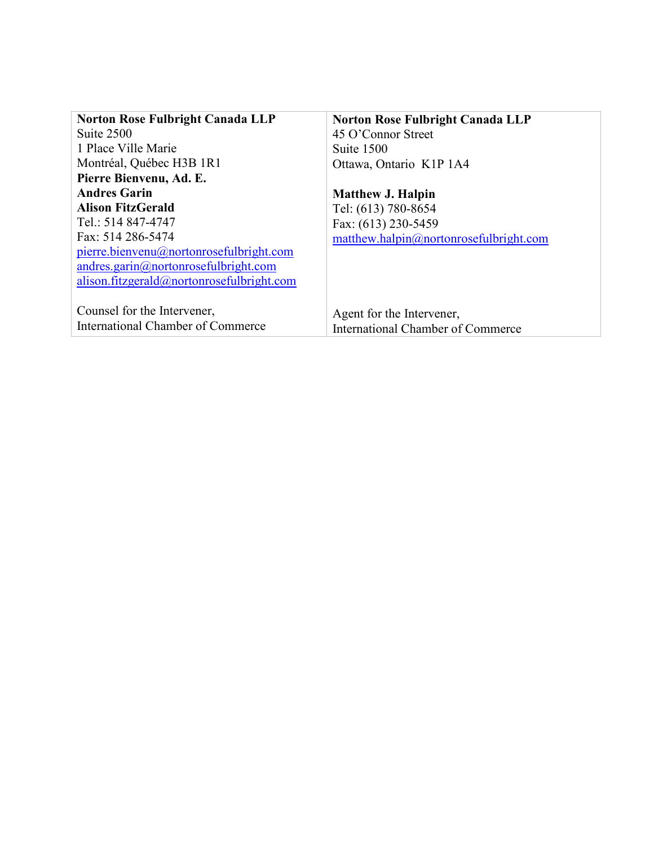| <b>Norton Rose Fulbright Canada LLP</b> |
|-----------------------------------------|
| 45 O'Connor Street                      |
| Suite 1500                              |
| Ottawa, Ontario K1P 1A4                 |
|                                         |
| <b>Matthew J. Halpin</b>                |
| Tel: (613) 780-8654                     |
| Fax: (613) 230-5459                     |
| mathew.halpin@notonrosefulbright.com    |
|                                         |
|                                         |
|                                         |
|                                         |
| Agent for the Intervener,               |
| International Chamber of Commerce       |
|                                         |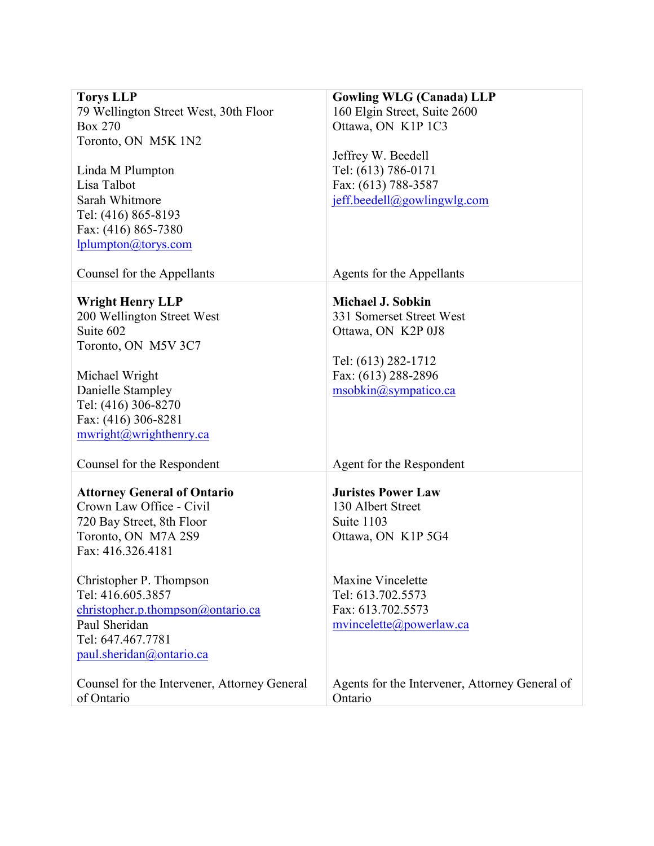| <b>Torys LLP</b><br>79 Wellington Street West, 30th Floor<br><b>Box 270</b><br>Toronto, ON M5K 1N2<br>Linda M Plumpton<br>Lisa Talbot<br>Sarah Whitmore<br>Tel: (416) 865-8193<br>Fax: (416) 865-7380<br>lplumpton@torys.com | <b>Gowling WLG (Canada) LLP</b><br>160 Elgin Street, Suite 2600<br>Ottawa, ON K1P 1C3<br>Jeffrey W. Beedell<br>Tel: (613) 786-0171<br>Fax: (613) 788-3587<br>jeff.beedell@gowlingwlg.com |
|------------------------------------------------------------------------------------------------------------------------------------------------------------------------------------------------------------------------------|------------------------------------------------------------------------------------------------------------------------------------------------------------------------------------------|
| Counsel for the Appellants                                                                                                                                                                                                   | Agents for the Appellants                                                                                                                                                                |
| <b>Wright Henry LLP</b><br>200 Wellington Street West<br>Suite 602<br>Toronto, ON M5V 3C7<br>Michael Wright<br>Danielle Stampley<br>Tel: (416) 306-8270<br>Fax: (416) 306-8281<br>mwright@wrighthenry.ca                     | <b>Michael J. Sobkin</b><br>331 Somerset Street West<br>Ottawa, ON K2P 0J8<br>Tel: (613) 282-1712<br>Fax: (613) 288-2896<br>msobkin@sympatico.ca                                         |
| Counsel for the Respondent                                                                                                                                                                                                   | Agent for the Respondent                                                                                                                                                                 |
| <b>Attorney General of Ontario</b><br>Crown Law Office - Civil<br>720 Bay Street, 8th Floor<br>Toronto, ON M7A 2S9<br>Fax: 416.326.4181<br>Christopher P. Thompson<br>Tel: 416.605.3857<br>christopher.p.thompson@ontario.ca | <b>Juristes Power Law</b><br>130 Albert Street<br>Suite 1103<br>Ottawa, ON K1P 5G4<br>Maxine Vincelette<br>Tel: 613.702.5573<br>Fax: 613.702.5573                                        |
| Paul Sheridan<br>Tel: 647.467.7781<br>paul.sheridan@ontario.ca                                                                                                                                                               | mvincelette@powerlaw.ca                                                                                                                                                                  |
| Counsel for the Intervener, Attorney General<br>of Ontario                                                                                                                                                                   | Agents for the Intervener, Attorney General of<br>Ontario                                                                                                                                |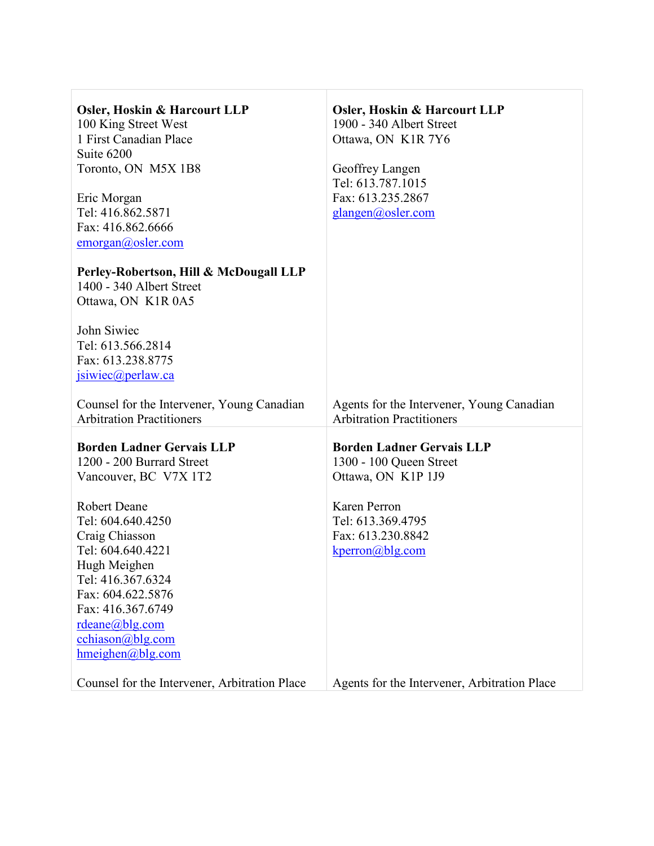| <b>Osler, Hoskin &amp; Harcourt LLP</b>       | <b>Osler, Hoskin &amp; Harcourt LLP</b>      |
|-----------------------------------------------|----------------------------------------------|
| 100 King Street West                          | 1900 - 340 Albert Street                     |
| 1 First Canadian Place                        | Ottawa, ON K1R 7Y6                           |
| Suite 6200                                    |                                              |
| Toronto, ON M5X 1B8                           | Geoffrey Langen                              |
|                                               | Tel: 613.787.1015                            |
| Eric Morgan                                   | Fax: 613.235.2867                            |
| Tel: 416.862.5871                             | glangen@osler.com                            |
| Fax: 416.862.6666                             |                                              |
| emorgan@osler.com                             |                                              |
|                                               |                                              |
| Perley-Robertson, Hill & McDougall LLP        |                                              |
| 1400 - 340 Albert Street                      |                                              |
| Ottawa, ON K1R 0A5                            |                                              |
|                                               |                                              |
| John Siwiec                                   |                                              |
| Tel: 613.566.2814                             |                                              |
| Fax: 613.238.8775                             |                                              |
| jsiwiec@perlaw.ca                             |                                              |
| Counsel for the Intervener, Young Canadian    | Agents for the Intervener, Young Canadian    |
| <b>Arbitration Practitioners</b>              | <b>Arbitration Practitioners</b>             |
|                                               |                                              |
| <b>Borden Ladner Gervais LLP</b>              | <b>Borden Ladner Gervais LLP</b>             |
| 1200 - 200 Burrard Street                     | 1300 - 100 Queen Street                      |
| Vancouver, BC V7X 1T2                         | Ottawa, ON K1P 1J9                           |
|                                               |                                              |
| <b>Robert Deane</b>                           | Karen Perron                                 |
| Tel: 604.640.4250                             | Tel: 613.369.4795                            |
| Craig Chiasson                                | Fax: 613.230.8842                            |
| Tel: 604.640.4221                             | $kperron(a)$ blg.com                         |
| Hugh Meighen                                  |                                              |
| Tel: 416.367.6324                             |                                              |
| Fax: 604.622.5876                             |                                              |
| Fax: 416.367.6749                             |                                              |
| $rdeane(a)$ blg.com                           |                                              |
| $cchiason(a)$ blg.com                         |                                              |
| hmeighen@blg.com                              |                                              |
| Counsel for the Intervener, Arbitration Place | Agents for the Intervener, Arbitration Place |
|                                               |                                              |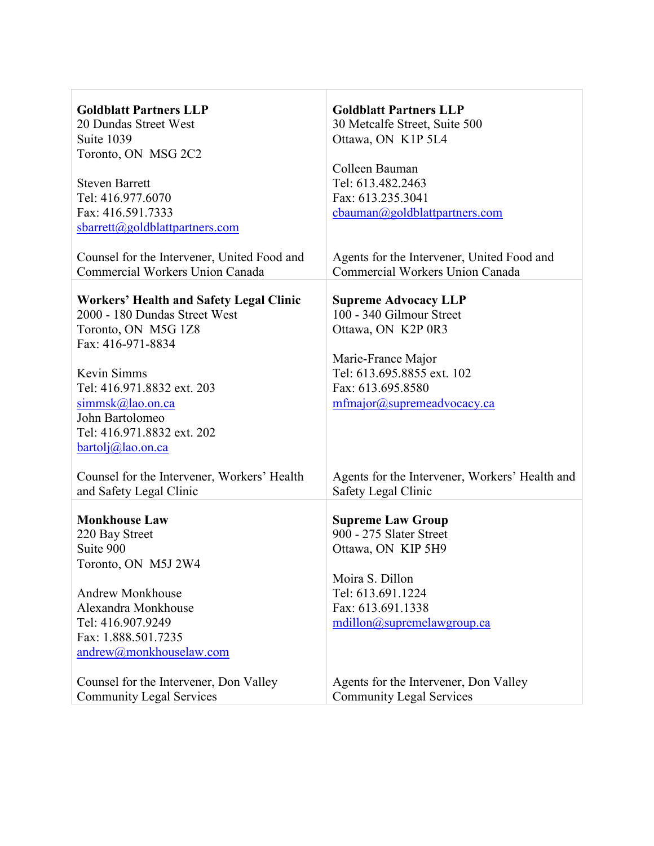| <b>Goldblatt Partners LLP</b>                  | <b>Goldblatt Partners LLP</b>                           |
|------------------------------------------------|---------------------------------------------------------|
| 20 Dundas Street West                          | 30 Metcalfe Street, Suite 500                           |
| Suite 1039                                     | Ottawa, ON K1P 5L4                                      |
| Toronto, ON MSG 2C2                            |                                                         |
|                                                | Colleen Bauman                                          |
| <b>Steven Barrett</b>                          | Tel: 613.482.2463                                       |
| Tel: 416.977.6070                              | Fax: 613.235.3041                                       |
| Fax: 416.591.7333                              | cbauman@goldblattpartners.com                           |
| sbarrett@goldblattpartners.com                 |                                                         |
|                                                |                                                         |
| Counsel for the Intervener, United Food and    | Agents for the Intervener, United Food and              |
| Commercial Workers Union Canada                | Commercial Workers Union Canada                         |
|                                                |                                                         |
| <b>Workers' Health and Safety Legal Clinic</b> |                                                         |
| 2000 - 180 Dundas Street West                  | <b>Supreme Advocacy LLP</b><br>100 - 340 Gilmour Street |
|                                                |                                                         |
| Toronto, ON M5G 1Z8<br>Fax: 416-971-8834       | Ottawa, ON K2P 0R3                                      |
|                                                |                                                         |
|                                                | Marie-France Major                                      |
| Kevin Simms                                    | Tel: 613.695.8855 ext. 102                              |
| Tel: 416.971.8832 ext. 203                     | Fax: 613.695.8580                                       |
| $simmsk(a)$ lao.on.ca                          | mfmajor@supremeadvocacy.ca                              |
| John Bartolomeo                                |                                                         |
| Tel: 416.971.8832 ext. 202                     |                                                         |
| $bartolj(a)$ lao.on.ca                         |                                                         |
|                                                |                                                         |
| Counsel for the Intervener, Workers' Health    | Agents for the Intervener, Workers' Health and          |
| and Safety Legal Clinic                        | Safety Legal Clinic                                     |
|                                                |                                                         |
| <b>Monkhouse Law</b>                           | <b>Supreme Law Group</b>                                |
| 220 Bay Street                                 | 900 - 275 Slater Street                                 |
| Suite 900                                      | Ottawa, ON KIP 5H9                                      |
| Toronto, ON M5J 2W4                            |                                                         |
|                                                | Moira S. Dillon                                         |
| <b>Andrew Monkhouse</b>                        | Tel: 613.691.1224                                       |
| Alexandra Monkhouse                            | Fax: 613.691.1338                                       |
| Tel: 416.907.9249                              | mdillon@supremelawgroup.ca                              |
| Fax: 1.888.501.7235                            |                                                         |
| andrew@monkhouselaw.com                        |                                                         |
|                                                |                                                         |
| Counsel for the Intervener, Don Valley         | Agents for the Intervener, Don Valley                   |
| <b>Community Legal Services</b>                | <b>Community Legal Services</b>                         |
|                                                |                                                         |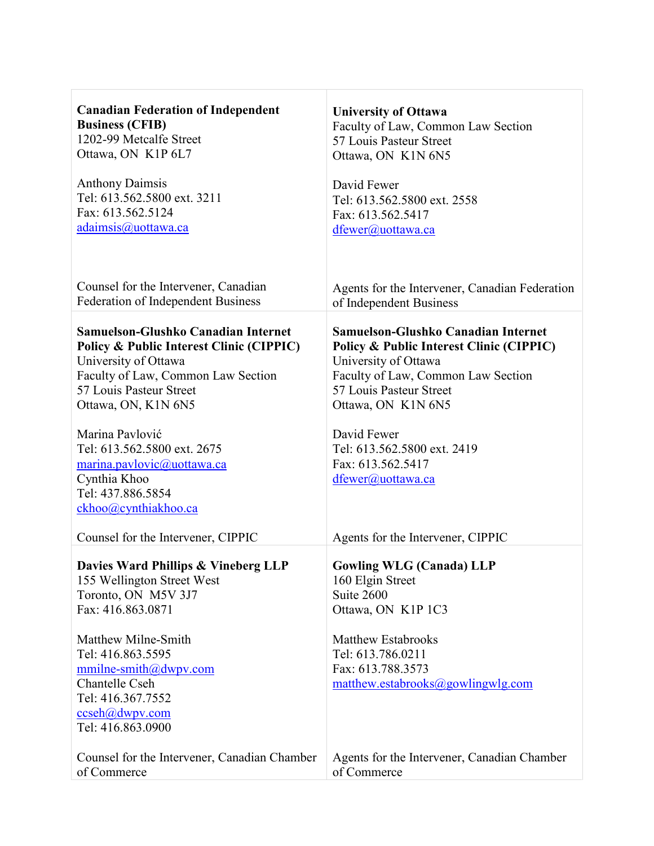| <b>Canadian Federation of Independent</b>                                                                     | <b>University of Ottawa</b>                                                                             |
|---------------------------------------------------------------------------------------------------------------|---------------------------------------------------------------------------------------------------------|
| <b>Business (CFIB)</b>                                                                                        | Faculty of Law, Common Law Section                                                                      |
| 1202-99 Metcalfe Street                                                                                       | 57 Louis Pasteur Street                                                                                 |
| Ottawa, ON K1P 6L7                                                                                            | Ottawa, ON K1N 6N5                                                                                      |
| <b>Anthony Daimsis</b>                                                                                        | David Fewer                                                                                             |
| Tel: 613.562.5800 ext. 3211                                                                                   | Tel: 613.562.5800 ext. 2558                                                                             |
| Fax: 613.562.5124                                                                                             | Fax: 613.562.5417                                                                                       |
| adaimsis@uottawa.ca                                                                                           | dfewer@uottawa.ca                                                                                       |
|                                                                                                               |                                                                                                         |
| Counsel for the Intervener, Canadian                                                                          | Agents for the Intervener, Canadian Federation                                                          |
| Federation of Independent Business                                                                            | of Independent Business                                                                                 |
| Samuelson-Glushko Canadian Internet<br>Policy & Public Interest Clinic (CIPPIC)<br>University of Ottawa       | Samuelson-Glushko Canadian Internet<br>Policy & Public Interest Clinic (CIPPIC)<br>University of Ottawa |
| Faculty of Law, Common Law Section                                                                            | Faculty of Law, Common Law Section                                                                      |
| 57 Louis Pasteur Street                                                                                       | 57 Louis Pasteur Street                                                                                 |
| Ottawa, ON, K1N 6N5                                                                                           | Ottawa, ON K1N 6N5                                                                                      |
| Marina Pavlović                                                                                               | David Fewer                                                                                             |
| Tel: 613.562.5800 ext. 2675                                                                                   | Tel: 613.562.5800 ext. 2419                                                                             |
| marina.pavlovic@uottawa.ca                                                                                    | Fax: 613.562.5417                                                                                       |
| Cynthia Khoo                                                                                                  | dfewer@uottawa.ca                                                                                       |
| Tel: 437.886.5854                                                                                             |                                                                                                         |
| ckhoo@cynthiakhoo.ca                                                                                          |                                                                                                         |
| Counsel for the Intervener, CIPPIC                                                                            | Agents for the Intervener, CIPPIC                                                                       |
| Davies Ward Phillips & Vineberg LLP<br>155 Wellington Street West<br>Toronto, ON M5V 3J7<br>Fax: 416.863.0871 | <b>Gowling WLG (Canada) LLP</b><br>160 Elgin Street<br>Suite 2600<br>Ottawa, ON K1P 1C3                 |
| Matthew Milne-Smith                                                                                           | <b>Matthew Estabrooks</b>                                                                               |
| Tel: 416.863.5595                                                                                             | Tel: 613.786.0211                                                                                       |
| $mmilne-smith@dwpv.com$                                                                                       | Fax: 613.788.3573                                                                                       |
| Chantelle Cseh                                                                                                | matthew.estabrooks@gowlingwlg.com                                                                       |
| Tel: 416.367.7552                                                                                             |                                                                                                         |
| $ccseh(a)$ dwpv.com                                                                                           |                                                                                                         |
| Tel: 416.863.0900                                                                                             |                                                                                                         |
| Counsel for the Intervener, Canadian Chamber                                                                  | Agents for the Intervener, Canadian Chamber                                                             |
| of Commerce                                                                                                   | of Commerce                                                                                             |

 $\Gamma$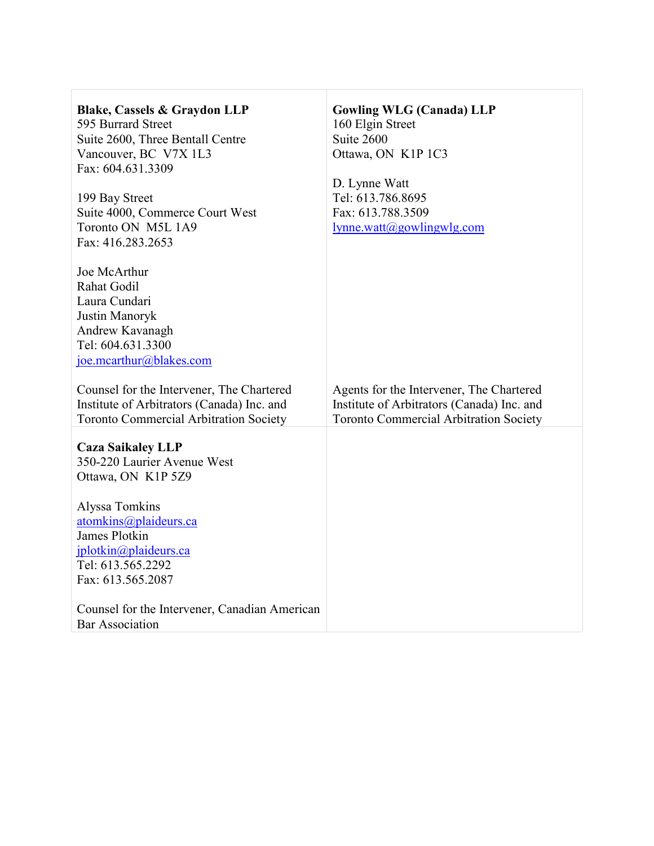| <b>Blake, Cassels &amp; Graydon LLP</b><br>595 Burrard Street<br>Suite 2600, Three Bentall Centre<br>Vancouver, BC V7X 1L3<br>Fax: 604.631.3309                                         | <b>Gowling WLG (Canada) LLP</b><br>160 Elgin Street<br>Suite 2600<br>Ottawa, ON K1P 1C3<br>D. Lynne Watt<br>Tel: 613.786.8695           |
|-----------------------------------------------------------------------------------------------------------------------------------------------------------------------------------------|-----------------------------------------------------------------------------------------------------------------------------------------|
| 199 Bay Street<br>Suite 4000, Commerce Court West<br>Toronto ON M5L 1A9<br>Fax: 416.283.2653                                                                                            | Fax: 613.788.3509<br>lynne, watt(a)gowlingwlg.com                                                                                       |
| Joe McArthur<br>Rahat Godil<br>Laura Cundari<br>Justin Manoryk<br>Andrew Kavanagh<br>Tel: 604.631.3300<br>joe.mcarthur@blakes.com                                                       |                                                                                                                                         |
| Counsel for the Intervener, The Chartered<br>Institute of Arbitrators (Canada) Inc. and<br><b>Toronto Commercial Arbitration Society</b>                                                | Agents for the Intervener, The Chartered<br>Institute of Arbitrators (Canada) Inc. and<br><b>Toronto Commercial Arbitration Society</b> |
| <b>Caza Saikaley LLP</b><br>350-220 Laurier Avenue West<br>Ottawa, ON K1P 5Z9<br>Alyssa Tomkins<br>atomkins@plaideurs.ca<br>James Plotkin<br>jplotkin@plaideurs.ca<br>Tel: 613.565.2292 |                                                                                                                                         |
| Fax: 613.565.2087<br>Counsel for the Intervener, Canadian American<br><b>Bar Association</b>                                                                                            |                                                                                                                                         |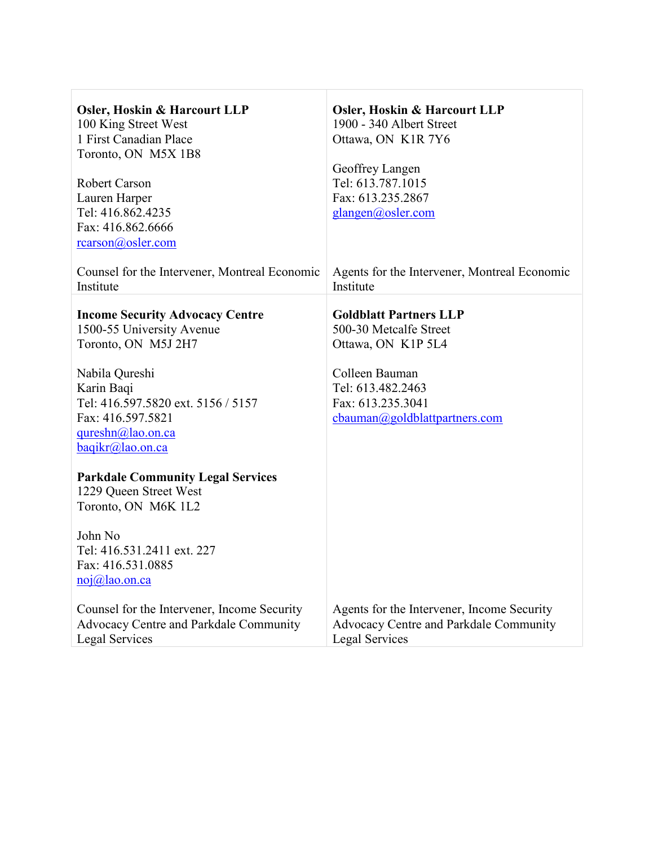| <b>Osler, Hoskin &amp; Harcourt LLP</b><br>100 King Street West<br>1 First Canadian Place<br>Toronto, ON M5X 1B8<br>Robert Carson<br>Lauren Harper<br>Tel: 416.862.4235<br>Fax: 416.862.6666<br>rcarson@osler.com                 | <b>Osler, Hoskin &amp; Harcourt LLP</b><br>1900 - 340 Albert Street<br>Ottawa, ON K1R 7Y6<br>Geoffrey Langen<br>Tel: 613.787.1015<br>Fax: 613.235.2867<br>glangen@osler.com |
|-----------------------------------------------------------------------------------------------------------------------------------------------------------------------------------------------------------------------------------|-----------------------------------------------------------------------------------------------------------------------------------------------------------------------------|
| Counsel for the Intervener, Montreal Economic<br>Institute                                                                                                                                                                        | Agents for the Intervener, Montreal Economic<br>Institute                                                                                                                   |
| <b>Income Security Advocacy Centre</b><br>1500-55 University Avenue<br>Toronto, ON M5J 2H7<br>Nabila Qureshi<br>Karin Baqi<br>Tel: 416.597.5820 ext. 5156 / 5157<br>Fax: 416.597.5821<br>qureshn@lao.on.ca<br>$bagikr@lao.$ on.ca | <b>Goldblatt Partners LLP</b><br>500-30 Metcalfe Street<br>Ottawa, ON K1P 5L4<br>Colleen Bauman<br>Tel: 613.482.2463<br>Fax: 613.235.3041<br>cbauman@goldblattpartners.com  |
| <b>Parkdale Community Legal Services</b><br>1229 Queen Street West<br>Toronto, ON M6K 1L2                                                                                                                                         |                                                                                                                                                                             |
| John No<br>Tel: 416.531.2411 ext. 227<br>Fax: 416.531.0885<br>$noj(\omega)$ lao.on.ca                                                                                                                                             |                                                                                                                                                                             |
| Counsel for the Intervener, Income Security<br>Advocacy Centre and Parkdale Community<br><b>Legal Services</b>                                                                                                                    | Agents for the Intervener, Income Security<br>Advocacy Centre and Parkdale Community<br><b>Legal Services</b>                                                               |

 $\overline{\phantom{a}}$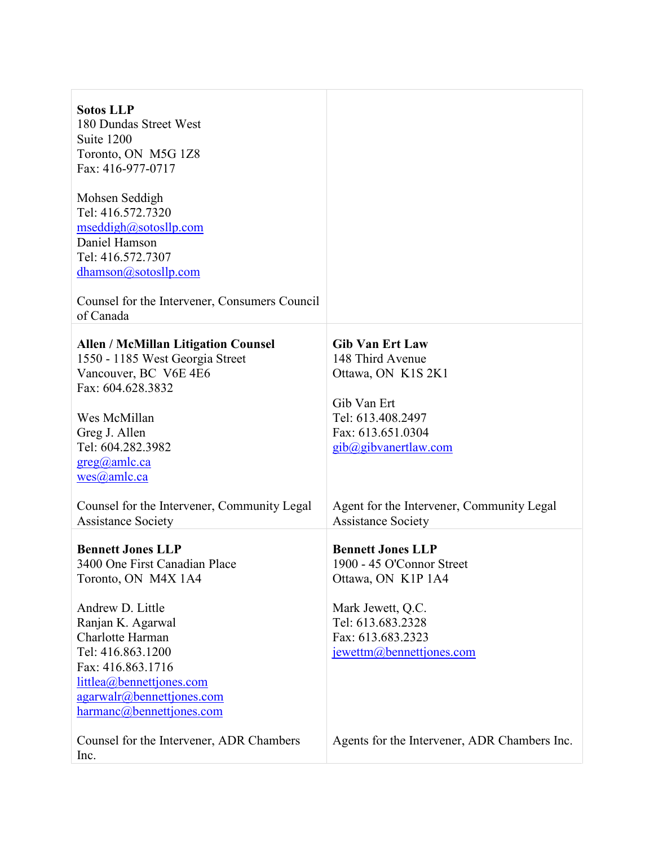| <b>Sotos LLP</b><br>180 Dundas Street West<br>Suite 1200<br>Toronto, ON M5G 1Z8<br>Fax: 416-977-0717<br>Mohsen Seddigh<br>Tel: 416.572.7320<br>mseddigh@sotosllp.com<br>Daniel Hamson<br>Tel: 416.572.7307<br>dhamson@sotosllp.com<br>Counsel for the Intervener, Consumers Council<br>of Canada             |                                                                                                                                                                                                     |
|--------------------------------------------------------------------------------------------------------------------------------------------------------------------------------------------------------------------------------------------------------------------------------------------------------------|-----------------------------------------------------------------------------------------------------------------------------------------------------------------------------------------------------|
| <b>Allen / McMillan Litigation Counsel</b><br>1550 - 1185 West Georgia Street<br>Vancouver, BC V6E 4E6<br>Fax: 604.628.3832<br>Wes McMillan<br>Greg J. Allen<br>Tel: 604.282.3982<br>$greg(a)$ amle.ca<br>wes@amlc.ca<br>Counsel for the Intervener, Community Legal                                         | <b>Gib Van Ert Law</b><br>148 Third Avenue<br>Ottawa, ON K1S 2K1<br>Gib Van Ert<br>Tel: 613.408.2497<br>Fax: 613.651.0304<br>gib@gibvanertlaw.com<br>Agent for the Intervener, Community Legal      |
| <b>Assistance Society</b><br><b>Bennett Jones LLP</b><br>3400 One First Canadian Place<br>Toronto, ON M4X 1A4<br>Andrew D. Little<br>Ranjan K. Agarwal<br>Charlotte Harman<br>Tel: 416.863.1200<br>Fax: 416.863.1716<br>littlea@bennettjones.com<br>$a$ garwalr@bennettjones.com<br>harmanc@bennettjones.com | <b>Assistance Society</b><br><b>Bennett Jones LLP</b><br>1900 - 45 O'Connor Street<br>Ottawa, ON K1P 1A4<br>Mark Jewett, Q.C.<br>Tel: 613.683.2328<br>Fax: 613.683.2323<br>jewettm@bennettjones.com |
| Counsel for the Intervener, ADR Chambers<br>Inc.                                                                                                                                                                                                                                                             | Agents for the Intervener, ADR Chambers Inc.                                                                                                                                                        |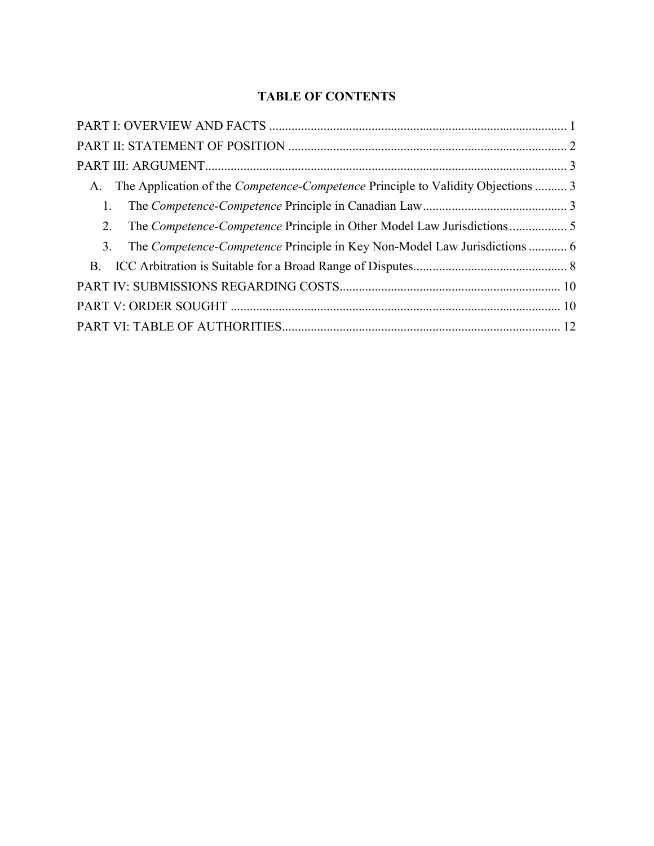## **TABLE OF CONTENTS**

| A. The Application of the <i>Competence-Competence</i> Principle to Validity Objections  3 |  |
|--------------------------------------------------------------------------------------------|--|
| 1.                                                                                         |  |
| 2.                                                                                         |  |
| 3.                                                                                         |  |
|                                                                                            |  |
|                                                                                            |  |
|                                                                                            |  |
|                                                                                            |  |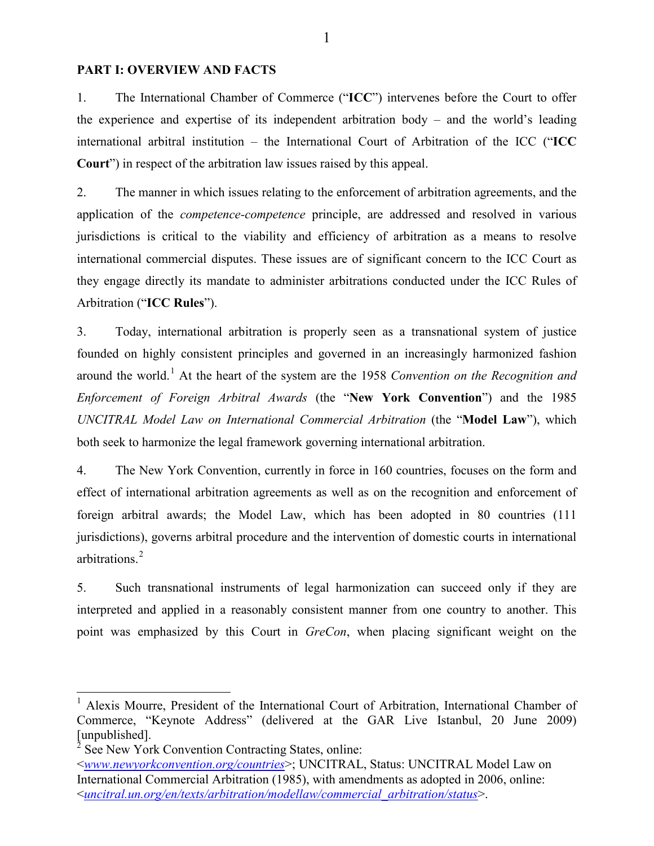### <span id="page-10-0"></span>**PART I: OVERVIEW AND FACTS**

1. The International Chamber of Commerce ("**ICC**") intervenes before the Court to offer the experience and expertise of its independent arbitration body – and the world's leading international arbitral institution – the International Court of Arbitration of the ICC ("**ICC Court**") in respect of the arbitration law issues raised by this appeal.

2. The manner in which issues relating to the enforcement of arbitration agreements, and the application of the *competence-competence* principle, are addressed and resolved in various jurisdictions is critical to the viability and efficiency of arbitration as a means to resolve international commercial disputes. These issues are of significant concern to the ICC Court as they engage directly its mandate to administer arbitrations conducted under the ICC Rules of Arbitration ("**ICC Rules**").

3. Today, international arbitration is properly seen as a transnational system of justice founded on highly consistent principles and governed in an increasingly harmonized fashion around the world.[1](#page-10-1) At the heart of the system are the 1958 *Convention on the Recognition and Enforcement of Foreign Arbitral Awards* (the "**New York Convention**") and the 1985 *UNCITRAL Model Law on International Commercial Arbitration* (the "**Model Law**"), which both seek to harmonize the legal framework governing international arbitration.

4. The New York Convention, currently in force in 160 countries, focuses on the form and effect of international arbitration agreements as well as on the recognition and enforcement of foreign arbitral awards; the Model Law, which has been adopted in 80 countries (111 jurisdictions), governs arbitral procedure and the intervention of domestic courts in international arbitrations<sup>[2](#page-10-2)</sup>

5. Such transnational instruments of legal harmonization can succeed only if they are interpreted and applied in a reasonably consistent manner from one country to another. This point was emphasized by this Court in *GreCon*, when placing significant weight on the

<span id="page-10-1"></span><sup>&</sup>lt;sup>1</sup> Alexis Mourre, President of the International Court of Arbitration, International Chamber of Commerce, "Keynote Address" (delivered at the GAR Live Istanbul, 20 June 2009) [unpublished].

<span id="page-10-2"></span><sup>&</sup>lt;sup>2</sup> See New York Convention Contracting States, online:

<sup>&</sup>lt;*www.newyorkconvention.org/countries*>; UNCITRAL, Status: UNCITRAL Model Law on International Commercial Arbitration (1985), with amendments as adopted in 2006, online: <*uncitral.un.org/en/texts/arbitration/modellaw/commercial\_arbitration/status*>.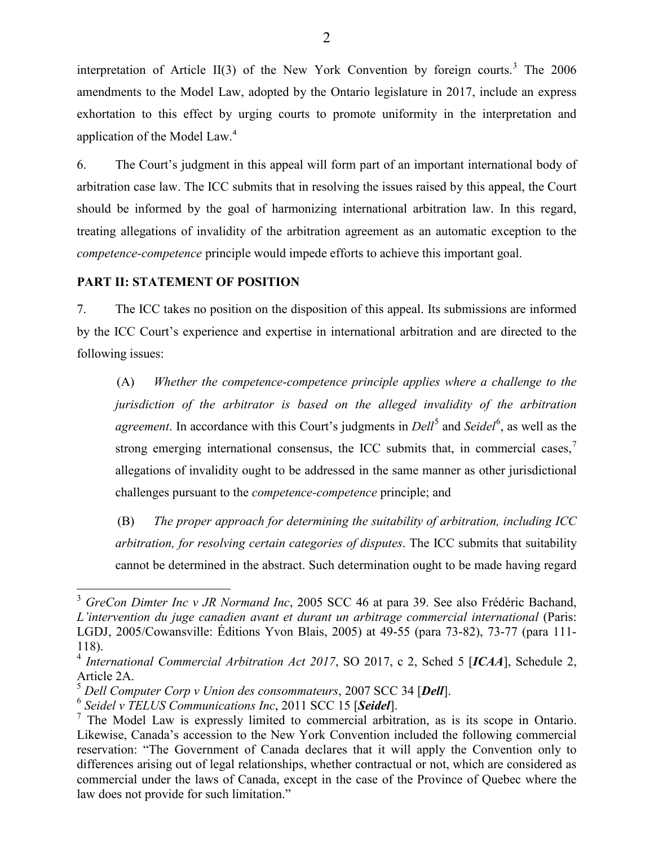interpretation of Article II([3](#page-11-1)) of the New York Convention by foreign courts.<sup>3</sup> The  $2006$ amendments to the Model Law, adopted by the Ontario legislature in 2017, include an express exhortation to this effect by urging courts to promote uniformity in the interpretation and application of the Model Law.<sup>[4](#page-11-2)</sup>

6. The Court's judgment in this appeal will form part of an important international body of arbitration case law. The ICC submits that in resolving the issues raised by this appeal, the Court should be informed by the goal of harmonizing international arbitration law. In this regard, treating allegations of invalidity of the arbitration agreement as an automatic exception to the *competence-competence* principle would impede efforts to achieve this important goal.

#### <span id="page-11-0"></span>**PART II: STATEMENT OF POSITION**

7. The ICC takes no position on the disposition of this appeal. Its submissions are informed by the ICC Court's experience and expertise in international arbitration and are directed to the following issues:

(A) *Whether the competence-competence principle applies where a challenge to the jurisdiction of the arbitrator is based on the alleged invalidity of the arbitration agreement*. In accordance with this Court's judgments in *Dell*<sup>[5](#page-11-3)</sup> and *Seidel*<sup>[6](#page-11-4)</sup>, as well as the strong emerging international consensus, the ICC submits that, in commercial cases, $\frac{7}{1}$  $\frac{7}{1}$  $\frac{7}{1}$ allegations of invalidity ought to be addressed in the same manner as other jurisdictional challenges pursuant to the *competence-competence* principle; and

(B) *The proper approach for determining the suitability of arbitration, including ICC arbitration, for resolving certain categories of disputes*. The ICC submits that suitability cannot be determined in the abstract. Such determination ought to be made having regard

<span id="page-11-1"></span><sup>3</sup> *GreCon Dimter Inc v JR Normand Inc*, 2005 SCC 46 at para 39. See also Frédéric Bachand, *L'intervention du juge canadien avant et durant un arbitrage commercial international* (Paris: LGDJ, 2005/Cowansville: Éditions Yvon Blais, 2005) at 49-55 (para 73-82), 73-77 (para 111- 118).

<span id="page-11-2"></span><sup>&</sup>lt;sup>4</sup> International Commercial Arbitration Act 2017, SO 2017, c 2, Sched 5 [ICAA], Schedule 2, Article 2A.

<span id="page-11-3"></span><sup>5</sup> *Dell Computer Corp v Union des consommateurs*, 2007 SCC 34 [*Dell*].

<span id="page-11-4"></span><sup>6</sup> *Seidel v TELUS Communications Inc*, 2011 SCC 15 [*Seidel*].

<span id="page-11-5"></span> $<sup>7</sup>$  The Model Law is expressly limited to commercial arbitration, as is its scope in Ontario.</sup> Likewise, Canada's accession to the New York Convention included the following commercial reservation: "The Government of Canada declares that it will apply the Convention only to differences arising out of legal relationships, whether contractual or not, which are considered as commercial under the laws of Canada, except in the case of the Province of Quebec where the law does not provide for such limitation."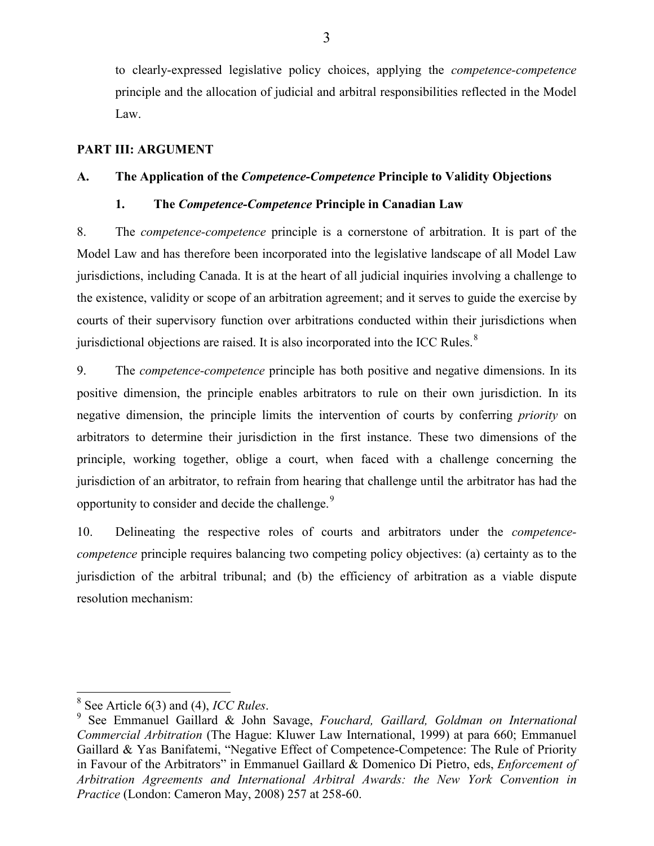to clearly-expressed legislative policy choices, applying the *competence-competence* principle and the allocation of judicial and arbitral responsibilities reflected in the Model Law.

### <span id="page-12-0"></span>**PART III: ARGUMENT**

### <span id="page-12-2"></span><span id="page-12-1"></span>**A. The Application of the** *Competence-Competence* **Principle to Validity Objections**

### **1. The** *Competence-Competence* **Principle in Canadian Law**

8. The *competence-competence* principle is a cornerstone of arbitration. It is part of the Model Law and has therefore been incorporated into the legislative landscape of all Model Law jurisdictions, including Canada. It is at the heart of all judicial inquiries involving a challenge to the existence, validity or scope of an arbitration agreement; and it serves to guide the exercise by courts of their supervisory function over arbitrations conducted within their jurisdictions when jurisdictional objections are raised. It is also incorporated into the ICC Rules.<sup>[8](#page-12-3)</sup>

9. The *competence-competence* principle has both positive and negative dimensions. In its positive dimension, the principle enables arbitrators to rule on their own jurisdiction. In its negative dimension, the principle limits the intervention of courts by conferring *priority* on arbitrators to determine their jurisdiction in the first instance. These two dimensions of the principle, working together, oblige a court, when faced with a challenge concerning the jurisdiction of an arbitrator, to refrain from hearing that challenge until the arbitrator has had the opportunity to consider and decide the challenge.<sup>[9](#page-12-4)</sup>

10. Delineating the respective roles of courts and arbitrators under the *competencecompetence* principle requires balancing two competing policy objectives: (a) certainty as to the jurisdiction of the arbitral tribunal; and (b) the efficiency of arbitration as a viable dispute resolution mechanism:

<span id="page-12-4"></span><span id="page-12-3"></span><sup>8</sup> See Article 6(3) and (4), *ICC Rules*. <sup>9</sup> See Emmanuel Gaillard & John Savage, *Fouchard, Gaillard, Goldman on International Commercial Arbitration* (The Hague: Kluwer Law International, 1999) at para 660; Emmanuel Gaillard & Yas Banifatemi, "Negative Effect of Competence-Competence: The Rule of Priority in Favour of the Arbitrators" in Emmanuel Gaillard & Domenico Di Pietro, eds, *Enforcement of Arbitration Agreements and International Arbitral Awards: the New York Convention in Practice* (London: Cameron May, 2008) 257 at 258-60.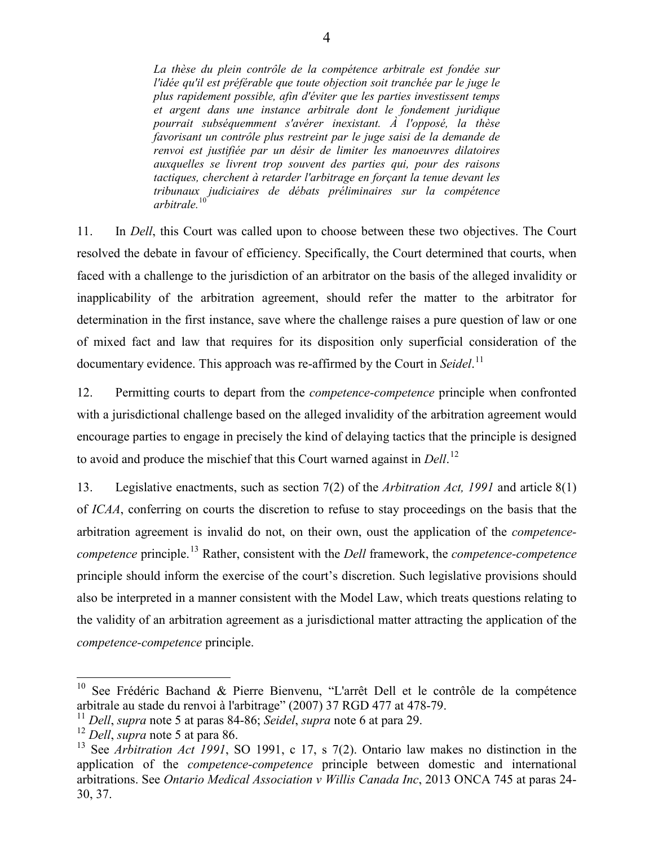*La thèse du plein contrôle de la compétence arbitrale est fondée sur l'idée qu'il est préférable que toute objection soit tranchée par le juge le plus rapidement possible, afin d'éviter que les parties investissent temps et argent dans une instance arbitrale dont le fondement juridique pourrait subséquemment s'avérer inexistant. À l'opposé, la thèse favorisant un contrôle plus restreint par le juge saisi de la demande de renvoi est justifiée par un désir de limiter les manoeuvres dilatoires auxquelles se livrent trop souvent des parties qui, pour des raisons tactiques, cherchent à retarder l'arbitrage en forçant la tenue devant les tribunaux judiciaires de débats préliminaires sur la compétence arbitrale.*[10](#page-13-0)

11. In *Dell*, this Court was called upon to choose between these two objectives. The Court resolved the debate in favour of efficiency. Specifically, the Court determined that courts, when faced with a challenge to the jurisdiction of an arbitrator on the basis of the alleged invalidity or inapplicability of the arbitration agreement, should refer the matter to the arbitrator for determination in the first instance, save where the challenge raises a pure question of law or one of mixed fact and law that requires for its disposition only superficial consideration of the documentary evidence. This approach was re-affirmed by the Court in *Seidel*. [11](#page-13-1)

12. Permitting courts to depart from the *competence-competence* principle when confronted with a jurisdictional challenge based on the alleged invalidity of the arbitration agreement would encourage parties to engage in precisely the kind of delaying tactics that the principle is designed to avoid and produce the mischief that this Court warned against in *Dell*. [12](#page-13-2)

13. Legislative enactments, such as section 7(2) of the *Arbitration Act, 1991* and article 8(1) of *ICAA*, conferring on courts the discretion to refuse to stay proceedings on the basis that the arbitration agreement is invalid do not, on their own, oust the application of the *competencecompetence* principle.[13](#page-13-3) Rather, consistent with the *Dell* framework, the *competence-competence* principle should inform the exercise of the court's discretion. Such legislative provisions should also be interpreted in a manner consistent with the Model Law, which treats questions relating to the validity of an arbitration agreement as a jurisdictional matter attracting the application of the *competence-competence* principle.

<span id="page-13-0"></span><sup>&</sup>lt;sup>10</sup> See Frédéric Bachand & Pierre Bienvenu, "L'arrêt Dell et le contrôle de la compétence arbitrale au stade du renvoi à l'arbitrage" (2007) 37 RGD 477 at 478-79.

<span id="page-13-1"></span><sup>11</sup> *Dell*, *supra* note 5 at paras 84-86; *Seidel*, *supra* note 6 at para 29.

<span id="page-13-2"></span><sup>12</sup> *Dell*, *supra* note 5 at para 86.

<span id="page-13-3"></span><sup>13</sup> See *Arbitration Act 1991*, SO 1991, c 17, s 7(2). Ontario law makes no distinction in the application of the *competence-competence* principle between domestic and international arbitrations. See *Ontario Medical Association v Willis Canada Inc*, 2013 ONCA 745 at paras 24- 30, 37.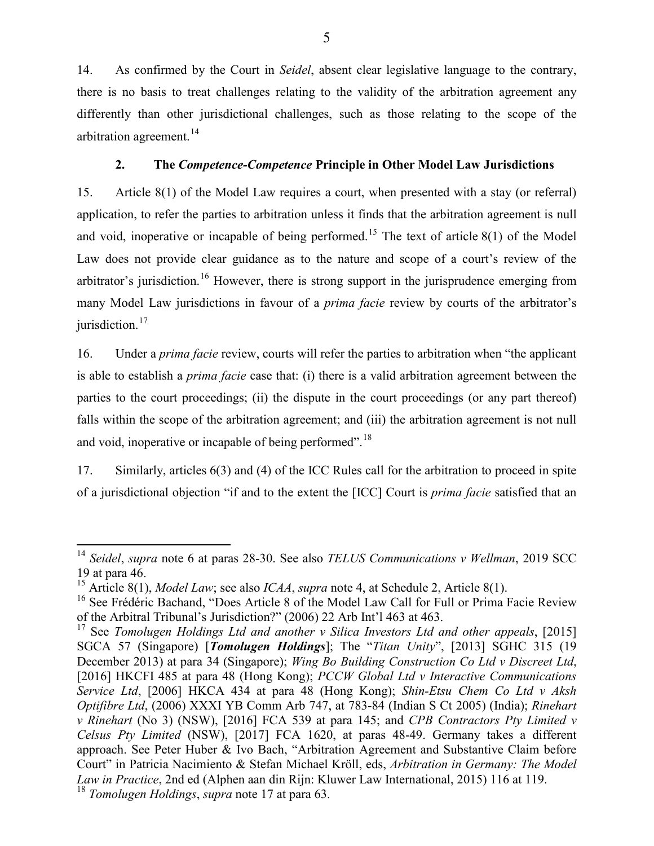14. As confirmed by the Court in *Seidel*, absent clear legislative language to the contrary, there is no basis to treat challenges relating to the validity of the arbitration agreement any differently than other jurisdictional challenges, such as those relating to the scope of the arbitration agreement.<sup>[14](#page-14-1)</sup>

### **2. The** *Competence-Competence* **Principle in Other Model Law Jurisdictions**

<span id="page-14-0"></span>15. Article 8(1) of the Model Law requires a court, when presented with a stay (or referral) application, to refer the parties to arbitration unless it finds that the arbitration agreement is null and void, inoperative or incapable of being performed.<sup>[15](#page-14-2)</sup> The text of article 8(1) of the Model Law does not provide clear guidance as to the nature and scope of a court's review of the arbitrator's jurisdiction.<sup>[16](#page-14-3)</sup> However, there is strong support in the jurisprudence emerging from many Model Law jurisdictions in favour of a *prima facie* review by courts of the arbitrator's jurisdiction.<sup>[17](#page-14-4)</sup>

16. Under a *prima facie* review, courts will refer the parties to arbitration when "the applicant is able to establish a *prima facie* case that: (i) there is a valid arbitration agreement between the parties to the court proceedings; (ii) the dispute in the court proceedings (or any part thereof) falls within the scope of the arbitration agreement; and (iii) the arbitration agreement is not null and void, inoperative or incapable of being performed".[18](#page-14-5)

17. Similarly, articles 6(3) and (4) of the ICC Rules call for the arbitration to proceed in spite of a jurisdictional objection "if and to the extent the [ICC] Court is *prima facie* satisfied that an

<span id="page-14-1"></span><sup>14</sup> *Seidel*, *supra* note 6 at paras 28-30. See also *TELUS Communications v Wellman*, 2019 SCC 19 at para 46.

<span id="page-14-2"></span><sup>15</sup> Article 8(1), *Model Law*; see also *ICAA*, *supra* note 4, at Schedule 2, Article 8(1).

<span id="page-14-3"></span><sup>&</sup>lt;sup>16</sup> See Frédéric Bachand, "Does Article 8 of the Model Law Call for Full or Prima Facie Review of the Arbitral Tribunal's Jurisdiction?" (2006) 22 Arb Int'l 463 at 463.

<span id="page-14-5"></span><span id="page-14-4"></span><sup>17</sup> See *Tomolugen Holdings Ltd and another v Silica Investors Ltd and other appeals*, [2015] SGCA 57 (Singapore) [*Tomolugen Holdings*]; The "*Titan Unity*", [2013] SGHC 315 (19 December 2013) at para 34 (Singapore); *Wing Bo Building Construction Co Ltd v Discreet Ltd*, [2016] HKCFI 485 at para 48 (Hong Kong); *PCCW Global Ltd v Interactive Communications Service Ltd*, [2006] HKCA 434 at para 48 (Hong Kong); *Shin-Etsu Chem Co Ltd v Aksh Optifibre Ltd*, (2006) XXXI YB Comm Arb 747, at 783-84 (Indian S Ct 2005) (India); *Rinehart v Rinehart* (No 3) (NSW), [2016] FCA 539 at para 145; and *CPB Contractors Pty Limited v Celsus Pty Limited* (NSW), [2017] FCA 1620, at paras 48-49. Germany takes a different approach. See Peter Huber & Ivo Bach, "Arbitration Agreement and Substantive Claim before Court" in Patricia Nacimiento & Stefan Michael Kröll, eds, *Arbitration in Germany: The Model Law in Practice*, 2nd ed (Alphen aan din Rijn: Kluwer Law International, 2015) 116 at 119. <sup>18</sup> *Tomolugen Holdings*, *supra* note 17 at para 63.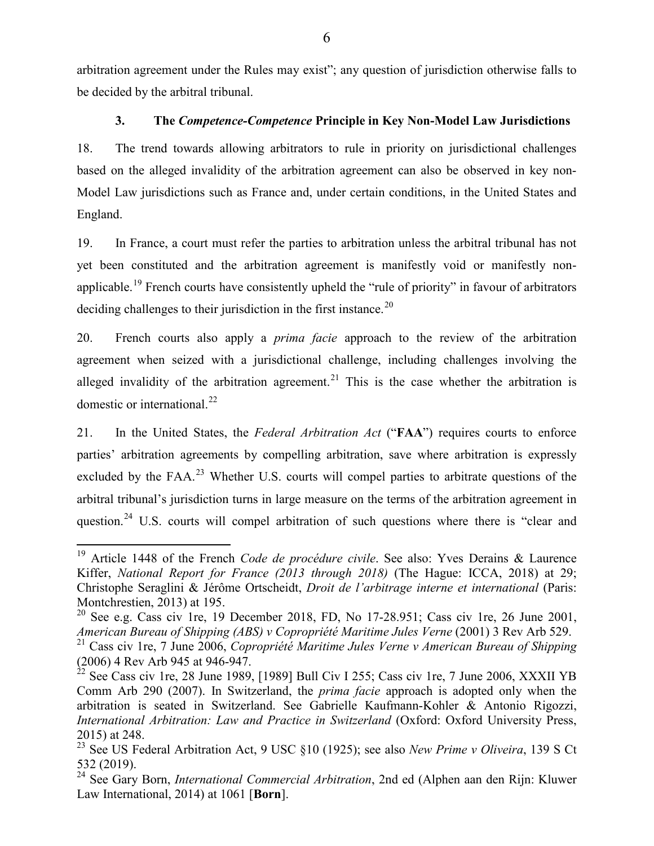arbitration agreement under the Rules may exist"; any question of jurisdiction otherwise falls to be decided by the arbitral tribunal.

### **3. The** *Competence-Competence* **Principle in Key Non-Model Law Jurisdictions**

<span id="page-15-0"></span>18. The trend towards allowing arbitrators to rule in priority on jurisdictional challenges based on the alleged invalidity of the arbitration agreement can also be observed in key non-Model Law jurisdictions such as France and, under certain conditions, in the United States and England.

19. In France, a court must refer the parties to arbitration unless the arbitral tribunal has not yet been constituted and the arbitration agreement is manifestly void or manifestly non-applicable.<sup>[19](#page-15-1)</sup> French courts have consistently upheld the "rule of priority" in favour of arbitrators deciding challenges to their jurisdiction in the first instance.<sup>[20](#page-15-2)</sup>

20. French courts also apply a *prima facie* approach to the review of the arbitration agreement when seized with a jurisdictional challenge, including challenges involving the alleged invalidity of the arbitration agreement.<sup>[21](#page-15-3)</sup> This is the case whether the arbitration is domestic or international.<sup>[22](#page-15-4)</sup>

21. In the United States, the *Federal Arbitration Act* ("**FAA**") requires courts to enforce parties' arbitration agreements by compelling arbitration, save where arbitration is expressly excluded by the FAA.<sup>[23](#page-15-5)</sup> Whether U.S. courts will compel parties to arbitrate questions of the arbitral tribunal's jurisdiction turns in large measure on the terms of the arbitration agreement in question.<sup>[24](#page-15-6)</sup> U.S. courts will compel arbitration of such questions where there is "clear and

<span id="page-15-1"></span><sup>19</sup> Article 1448 of the French *Code de procédure civile*. See also: Yves Derains & Laurence Kiffer, *National Report for France (2013 through 2018)* (The Hague: ICCA, 2018) at 29; Christophe Seraglini & Jérôme Ortscheidt, *Droit de l'arbitrage interne et international* (Paris: Montchrestien, 2013) at 195.

<span id="page-15-2"></span> $20$  See e.g. Cass civ 1re, 19 December 2018, FD, No 17-28.951; Cass civ 1re, 26 June 2001, *American Bureau of Shipping (ABS) v Copropriété Maritime Jules Verne* (2001) 3 Rev Arb 529.

<span id="page-15-3"></span><sup>21</sup> Cass civ 1re, 7 June 2006, *Copropriété Maritime Jules Verne v American Bureau of Shipping*  (2006) 4 Rev Arb 945 at 946-947.

<span id="page-15-4"></span> $^{22}$  See Cass civ 1re, 28 June 1989, [1989] Bull Civ I 255; Cass civ 1re, 7 June 2006, XXXII YB Comm Arb 290 (2007). In Switzerland, the *prima facie* approach is adopted only when the arbitration is seated in Switzerland. See Gabrielle Kaufmann-Kohler & Antonio Rigozzi, *International Arbitration: Law and Practice in Switzerland* (Oxford: Oxford University Press, 2015) at 248.

<span id="page-15-5"></span><sup>&</sup>lt;sup>23</sup> See US Federal Arbitration Act, 9 USC §10 (1925); see also *New Prime v Oliveira*, 139 S Ct 532 (2019).

<span id="page-15-6"></span><sup>24</sup> See Gary Born, *International Commercial Arbitration*, 2nd ed (Alphen aan den Rijn: Kluwer Law International, 2014) at 1061 [**Born**].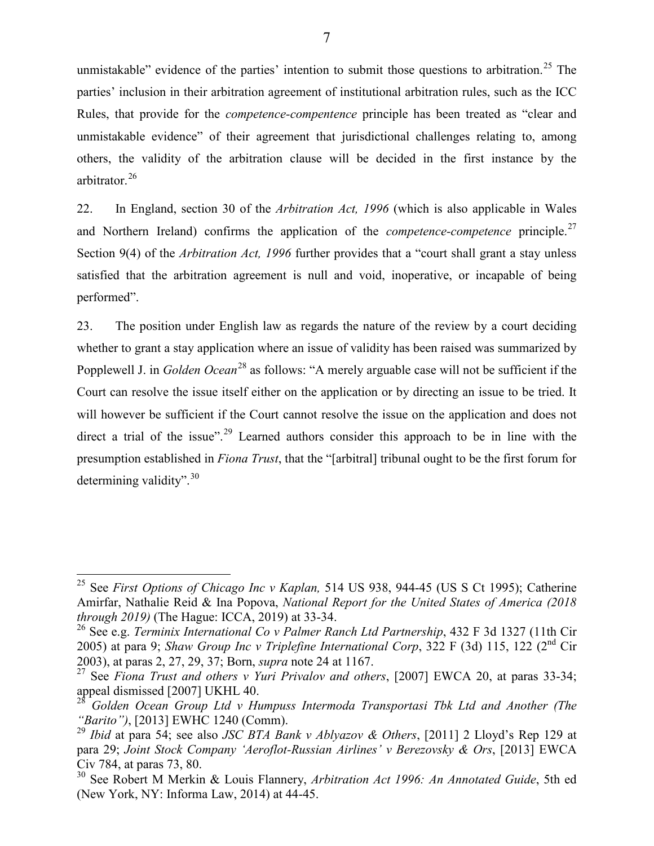unmistakable" evidence of the parties' intention to submit those questions to arbitration.<sup>[25](#page-16-0)</sup> The parties' inclusion in their arbitration agreement of institutional arbitration rules, such as the ICC Rules, that provide for the *competence-compentence* principle has been treated as "clear and unmistakable evidence" of their agreement that jurisdictional challenges relating to, among others, the validity of the arbitration clause will be decided in the first instance by the arbitrator.[26](#page-16-1)

22. In England, section 30 of the *Arbitration Act, 1996* (which is also applicable in Wales and Northern Ireland) confirms the application of the *competence-competence* principle.<sup>[27](#page-16-2)</sup> Section 9(4) of the *Arbitration Act, 1996* further provides that a "court shall grant a stay unless satisfied that the arbitration agreement is null and void, inoperative, or incapable of being performed".

23. The position under English law as regards the nature of the review by a court deciding whether to grant a stay application where an issue of validity has been raised was summarized by Popplewell J. in *Golden Ocean*<sup>[28](#page-16-3)</sup> as follows: "A merely arguable case will not be sufficient if the Court can resolve the issue itself either on the application or by directing an issue to be tried. It will however be sufficient if the Court cannot resolve the issue on the application and does not direct a trial of the issue".<sup>[29](#page-16-4)</sup> Learned authors consider this approach to be in line with the presumption established in *Fiona Trust*, that the "[arbitral] tribunal ought to be the first forum for determining validity".<sup>[30](#page-16-5)</sup>

<span id="page-16-0"></span><sup>25</sup> See *First Options of Chicago Inc v Kaplan,* 514 US 938, 944-45 (US S Ct 1995); Catherine Amirfar, Nathalie Reid & Ina Popova, *National Report for the United States of America (2018 through 2019)* (The Hague: ICCA, 2019) at 33-34.

<span id="page-16-1"></span><sup>26</sup> See e.g. *Terminix International Co v Palmer Ranch Ltd Partnership*, 432 F 3d 1327 (11th Cir 2005) at para 9; *Shaw Group Inc v Triplefine International Corp*, 322 F (3d) 115, 122 (2nd Cir 2003), at paras 2, 27, 29, 37; Born, *supra* note 24 at 1167.

<span id="page-16-2"></span><sup>27</sup> See *Fiona Trust and others v Yuri Privalov and others*, [2007] EWCA 20, at paras 33-34; appeal dismissed [2007] UKHL 40.

<span id="page-16-3"></span><sup>28</sup> *Golden Ocean Group Ltd v Humpuss Intermoda Transportasi Tbk Ltd and Another (The "Barito")*, [2013] EWHC 1240 (Comm).

<span id="page-16-4"></span><sup>29</sup> *Ibid* at para 54; see also *JSC BTA Bank v Ablyazov & Others*, [2011] 2 Lloyd's Rep 129 at para 29; *Joint Stock Company 'Aeroflot-Russian Airlines' v Berezovsky & Ors*, [2013] EWCA Civ 784, at paras 73, 80.

<span id="page-16-5"></span><sup>30</sup> See Robert M Merkin & Louis Flannery, *Arbitration Act 1996: An Annotated Guide*, 5th ed (New York, NY: Informa Law, 2014) at 44-45.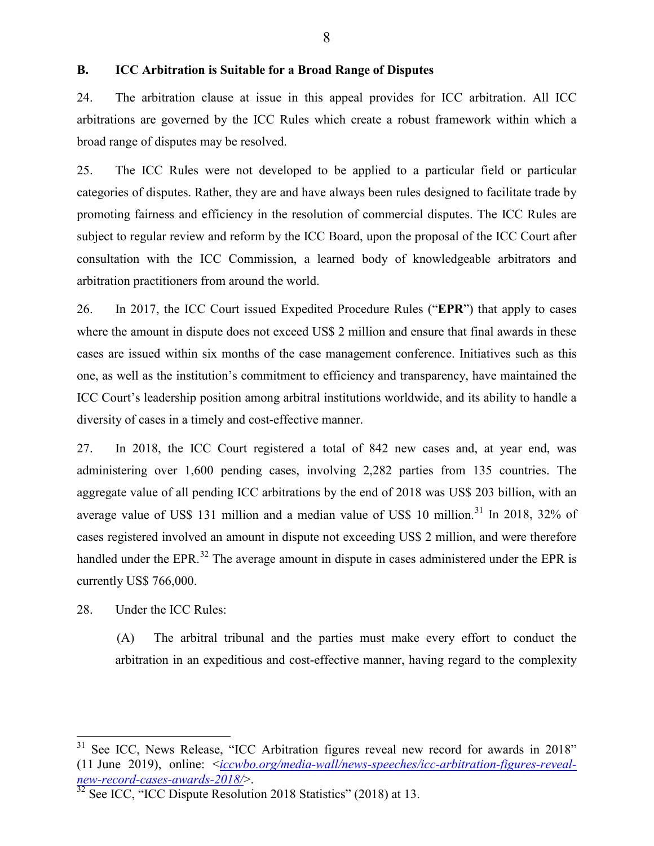#### <span id="page-17-0"></span>**B. ICC Arbitration is Suitable for a Broad Range of Disputes**

24. The arbitration clause at issue in this appeal provides for ICC arbitration. All ICC arbitrations are governed by the ICC Rules which create a robust framework within which a broad range of disputes may be resolved.

25. The ICC Rules were not developed to be applied to a particular field or particular categories of disputes. Rather, they are and have always been rules designed to facilitate trade by promoting fairness and efficiency in the resolution of commercial disputes. The ICC Rules are subject to regular review and reform by the ICC Board, upon the proposal of the ICC Court after consultation with the ICC Commission, a learned body of knowledgeable arbitrators and arbitration practitioners from around the world.

26. In 2017, the ICC Court issued Expedited Procedure Rules ("**EPR**") that apply to cases where the amount in dispute does not exceed US\$ 2 million and ensure that final awards in these cases are issued within six months of the case management conference. Initiatives such as this one, as well as the institution's commitment to efficiency and transparency, have maintained the ICC Court's leadership position among arbitral institutions worldwide, and its ability to handle a diversity of cases in a timely and cost-effective manner.

27. In 2018, the ICC Court registered a total of 842 new cases and, at year end, was administering over 1,600 pending cases, involving 2,282 parties from 135 countries. The aggregate value of all pending ICC arbitrations by the end of 2018 was US\$ 203 billion, with an average value of US\$ 1[31](#page-17-1) million and a median value of US\$ 10 million.<sup>31</sup> In 2018, 32% of cases registered involved an amount in dispute not exceeding US\$ 2 million, and were therefore handled under the EPR.<sup>[32](#page-17-2)</sup> The average amount in dispute in cases administered under the EPR is currently US\$ 766,000.

28. Under the ICC Rules:

(A) The arbitral tribunal and the parties must make every effort to conduct the arbitration in an expeditious and cost-effective manner, having regard to the complexity

<span id="page-17-1"></span><sup>&</sup>lt;sup>31</sup> See ICC, News Release, "ICC Arbitration figures reveal new record for awards in 2018" (11 June 2019), online: <*iccwbo.org/media-wall/news-speeches/icc-arbitration-figures-revealnew-record-cases-awards-2018/*>.

<span id="page-17-2"></span> $32$  See ICC, "ICC Dispute Resolution 2018 Statistics" (2018) at 13.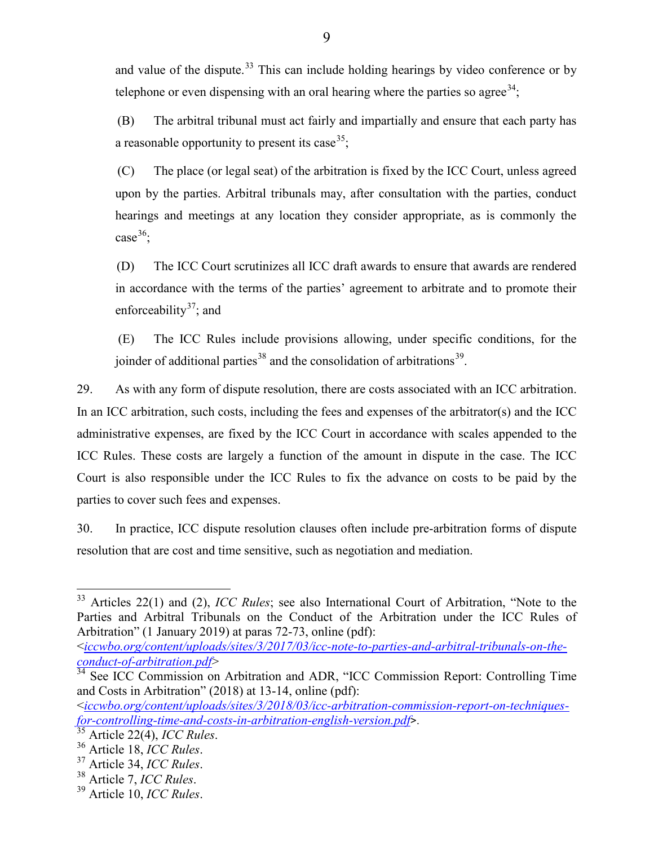and value of the dispute.<sup>[33](#page-18-0)</sup> This can include holding hearings by video conference or by telephone or even dispensing with an oral hearing where the parties so agree<sup>[34](#page-18-1)</sup>;

(B) The arbitral tribunal must act fairly and impartially and ensure that each party has a reasonable opportunity to present its case  $35$ .

(C) The place (or legal seat) of the arbitration is fixed by the ICC Court, unless agreed upon by the parties. Arbitral tribunals may, after consultation with the parties, conduct hearings and meetings at any location they consider appropriate, as is commonly the case<sup>[36](#page-18-3)</sup>;

(D) The ICC Court scrutinizes all ICC draft awards to ensure that awards are rendered in accordance with the terms of the parties' agreement to arbitrate and to promote their enforceability<sup>[37](#page-18-4)</sup>; and

(E) The ICC Rules include provisions allowing, under specific conditions, for the joinder of additional parties<sup>[38](#page-18-5)</sup> and the consolidation of arbitrations<sup>39</sup>.

29. As with any form of dispute resolution, there are costs associated with an ICC arbitration. In an ICC arbitration, such costs, including the fees and expenses of the arbitrator(s) and the ICC administrative expenses, are fixed by the ICC Court in accordance with scales appended to the ICC Rules. These costs are largely a function of the amount in dispute in the case. The ICC Court is also responsible under the ICC Rules to fix the advance on costs to be paid by the parties to cover such fees and expenses.

30. In practice, ICC dispute resolution clauses often include pre-arbitration forms of dispute resolution that are cost and time sensitive, such as negotiation and mediation.

<span id="page-18-0"></span><sup>33</sup> Articles 22(1) and (2), *ICC Rules*; see also International Court of Arbitration, "Note to the Parties and Arbitral Tribunals on the Conduct of the Arbitration under the ICC Rules of Arbitration" (1 January 2019) at paras 72-73, online (pdf):

<sup>&</sup>lt;*[iccwbo.org/content/uploads/sites/3/2017/03/icc-note-to-parties-and-arbitral-tribunals-on-the](https://iccwbo.org/content/uploads/sites/3/2017/03/icc-note-to-parties-and-arbitral-tribunals-on-the-conduct-of-arbitration.pdf)[conduct-of-arbitration.pdf](https://iccwbo.org/content/uploads/sites/3/2017/03/icc-note-to-parties-and-arbitral-tribunals-on-the-conduct-of-arbitration.pdf)*>

<span id="page-18-1"></span><sup>&</sup>lt;sup>34</sup> See ICC Commission on Arbitration and ADR, "ICC Commission Report: Controlling Time and Costs in Arbitration" (2018) at 13-14, online (pdf):

<sup>&</sup>lt;*[iccwbo.org/content/uploads/sites/3/2018/03/icc-arbitration-commission-report-on-techniques](https://iccwbo.org/content/uploads/sites/3/2018/03/icc-arbitration-commission-report-on-techniques-for-controlling-time-and-costs-in-arbitration-english-version.pdf)[for-controlling-time-and-costs-in-arbitration-english-version.pdf](https://iccwbo.org/content/uploads/sites/3/2018/03/icc-arbitration-commission-report-on-techniques-for-controlling-time-and-costs-in-arbitration-english-version.pdf)*>.

<span id="page-18-2"></span>

<span id="page-18-4"></span><span id="page-18-3"></span><sup>35</sup> Article 22(4), *ICC Rules*. <sup>36</sup> Article 18, *ICC Rules*. 37 Article 34, *ICC Rules*. 38 Article 7, *ICC Rules*. 39 Article 10, *ICC Rules*.

<span id="page-18-5"></span>

<span id="page-18-6"></span>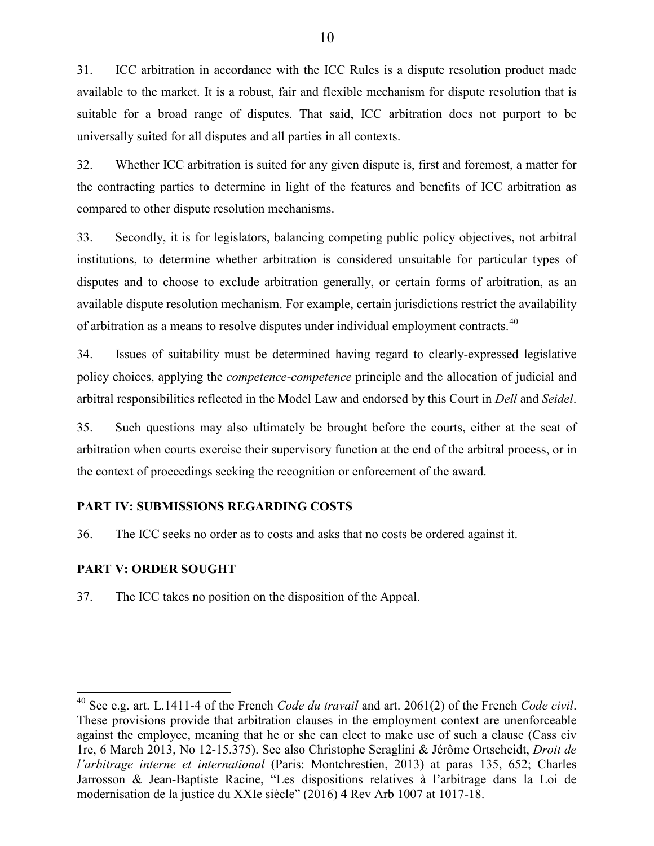31. ICC arbitration in accordance with the ICC Rules is a dispute resolution product made available to the market. It is a robust, fair and flexible mechanism for dispute resolution that is suitable for a broad range of disputes. That said, ICC arbitration does not purport to be universally suited for all disputes and all parties in all contexts.

32. Whether ICC arbitration is suited for any given dispute is, first and foremost, a matter for the contracting parties to determine in light of the features and benefits of ICC arbitration as compared to other dispute resolution mechanisms.

33. Secondly, it is for legislators, balancing competing public policy objectives, not arbitral institutions, to determine whether arbitration is considered unsuitable for particular types of disputes and to choose to exclude arbitration generally, or certain forms of arbitration, as an available dispute resolution mechanism. For example, certain jurisdictions restrict the availability of arbitration as a means to resolve disputes under individual employment contracts.<sup>[40](#page-19-2)</sup>

34. Issues of suitability must be determined having regard to clearly-expressed legislative policy choices, applying the *competence-competence* principle and the allocation of judicial and arbitral responsibilities reflected in the Model Law and endorsed by this Court in *Dell* and *Seidel*.

35. Such questions may also ultimately be brought before the courts, either at the seat of arbitration when courts exercise their supervisory function at the end of the arbitral process, or in the context of proceedings seeking the recognition or enforcement of the award.

### <span id="page-19-0"></span>**PART IV: SUBMISSIONS REGARDING COSTS**

36. The ICC seeks no order as to costs and asks that no costs be ordered against it.

#### <span id="page-19-1"></span>**PART V: ORDER SOUGHT**

37. The ICC takes no position on the disposition of the Appeal.

<span id="page-19-2"></span><sup>40</sup> See e.g. art. L.1411-4 of the French *Code du travail* and art. 2061(2) of the French *Code civil*. These provisions provide that arbitration clauses in the employment context are unenforceable against the employee, meaning that he or she can elect to make use of such a clause (Cass civ 1re, 6 March 2013, No 12-15.375). See also Christophe Seraglini & Jérôme Ortscheidt, *Droit de l'arbitrage interne et international* (Paris: Montchrestien, 2013) at paras 135, 652; Charles Jarrosson & Jean-Baptiste Racine, "Les dispositions relatives à l'arbitrage dans la Loi de modernisation de la justice du XXIe siècle" (2016) 4 Rev Arb 1007 at 1017-18.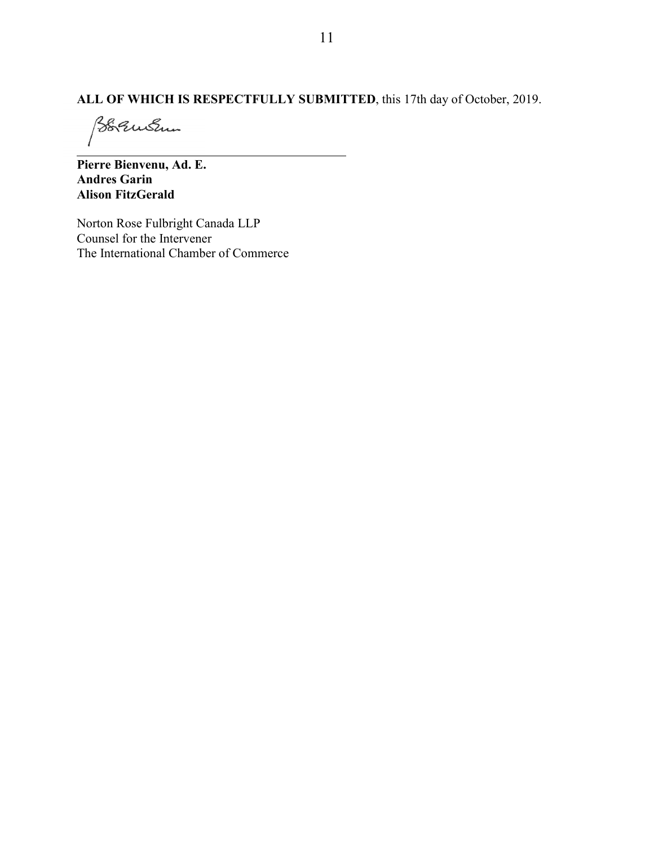# **ALL OF WHICH IS RESPECTFULLY SUBMITTED**, this 17th day of October, 2019.

Boquistin

**Pierre Bienvenu, Ad. E. Andres Garin Alison FitzGerald**

Norton Rose Fulbright Canada LLP Counsel for the Intervener The International Chamber of Commerce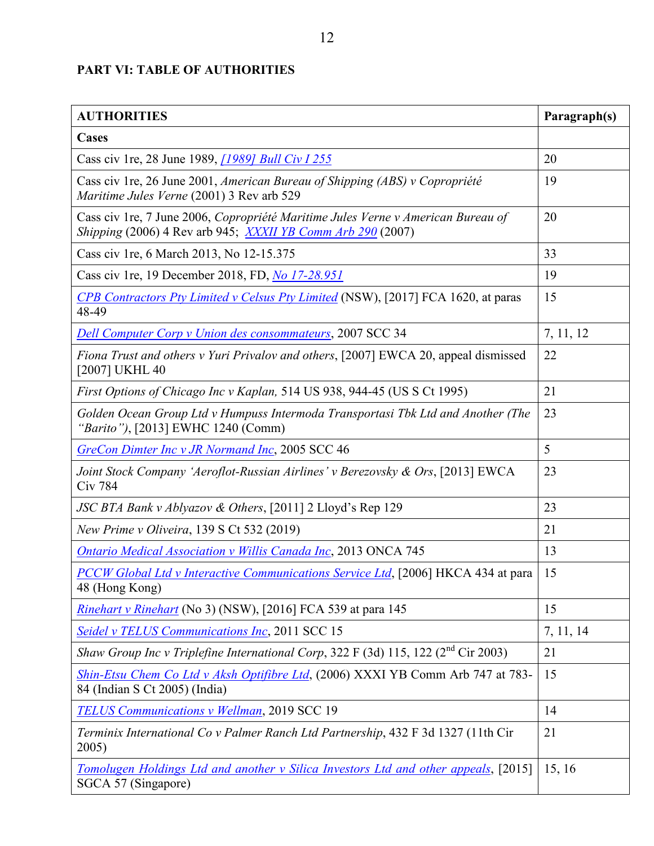## <span id="page-21-0"></span>**PART VI: TABLE OF AUTHORITIES**

| <b>AUTHORITIES</b>                                                                                                                                     | Paragraph(s) |
|--------------------------------------------------------------------------------------------------------------------------------------------------------|--------------|
| <b>Cases</b>                                                                                                                                           |              |
| Cass civ 1re, 28 June 1989, [1989] Bull Civ I 255                                                                                                      | 20           |
| Cass civ 1re, 26 June 2001, American Bureau of Shipping (ABS) v Copropriété<br>Maritime Jules Verne (2001) 3 Rev arb 529                               | 19           |
| Cass civ 1re, 7 June 2006, Copropriété Maritime Jules Verne v American Bureau of<br><i>Shipping</i> (2006) 4 Rev arb 945; XXXII YB Comm Arb 290 (2007) | 20           |
| Cass civ 1re, 6 March 2013, No 12-15.375                                                                                                               | 33           |
| Cass civ 1re, 19 December 2018, FD, No 17-28.951                                                                                                       | 19           |
| <b>CPB Contractors Pty Limited v Celsus Pty Limited (NSW), [2017] FCA 1620, at paras</b><br>48-49                                                      | 15           |
| <b>Dell Computer Corp v Union des consommateurs, 2007 SCC 34</b>                                                                                       | 7, 11, 12    |
| Fiona Trust and others v Yuri Privalov and others, [2007] EWCA 20, appeal dismissed<br>[2007] UKHL 40                                                  | 22           |
| First Options of Chicago Inc v Kaplan, 514 US 938, 944-45 (US S Ct 1995)                                                                               | 21           |
| Golden Ocean Group Ltd v Humpuss Intermoda Transportasi Tbk Ltd and Another (The<br>"Barito"), [2013] EWHC 1240 (Comm)                                 | 23           |
| GreCon Dimter Inc v JR Normand Inc, 2005 SCC 46                                                                                                        | 5            |
| Joint Stock Company 'Aeroflot-Russian Airlines' v Berezovsky & Ors, [2013] EWCA<br><b>Civ 784</b>                                                      | 23           |
| <i>JSC BTA Bank v Ablyazov &amp; Others</i> , [2011] 2 Lloyd's Rep 129                                                                                 | 23           |
| New Prime v Oliveira, 139 S Ct 532 (2019)                                                                                                              | 21           |
| <b>Ontario Medical Association v Willis Canada Inc, 2013 ONCA 745</b>                                                                                  | 13           |
| <b>PCCW Global Ltd v Interactive Communications Service Ltd.</b> [2006] HKCA 434 at para<br>48 (Hong Kong)                                             | 15           |
| <i>Rinehart v Rinehart</i> (No 3) (NSW), [2016] FCA 539 at para 145                                                                                    | 15           |
| <b>Seidel v TELUS Communications Inc, 2011 SCC 15</b>                                                                                                  | 7, 11, 14    |
| Shaw Group Inc v Triplefine International Corp, 322 F (3d) 115, 122 (2 <sup>nd</sup> Cir 2003)                                                         | 21           |
| Shin-Etsu Chem Co Ltd v Aksh Optifibre Ltd, (2006) XXXI YB Comm Arb 747 at 783-<br>84 (Indian S Ct 2005) (India)                                       | 15           |
| TELUS Communications v Wellman, 2019 SCC 19                                                                                                            | 14           |
| Terminix International Co v Palmer Ranch Ltd Partnership, 432 F 3d 1327 (11th Cir<br>2005)                                                             | 21           |
| Tomolugen Holdings Ltd and another v Silica Investors Ltd and other appeals, [2015]<br>SGCA 57 (Singapore)                                             | 15, 16       |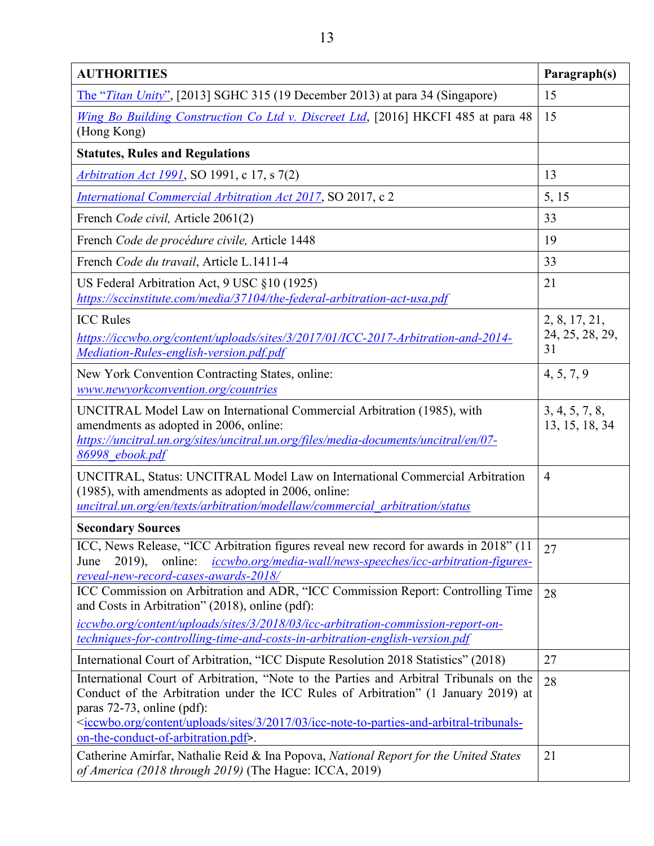| <b>AUTHORITIES</b>                                                                                                                                                                                                                                                                                                                                                               | Paragraph(s)                           |
|----------------------------------------------------------------------------------------------------------------------------------------------------------------------------------------------------------------------------------------------------------------------------------------------------------------------------------------------------------------------------------|----------------------------------------|
| The "Titan Unity", [2013] SGHC 315 (19 December 2013) at para 34 (Singapore)                                                                                                                                                                                                                                                                                                     | 15                                     |
| Wing Bo Building Construction Co Ltd v. Discreet Ltd, [2016] HKCFI 485 at para 48<br>(Hong Kong)                                                                                                                                                                                                                                                                                 | 15                                     |
| <b>Statutes, Rules and Regulations</b>                                                                                                                                                                                                                                                                                                                                           |                                        |
| <i>Arbitration Act 1991</i> , SO 1991, c 17, s 7(2)                                                                                                                                                                                                                                                                                                                              | 13                                     |
| <b>International Commercial Arbitration Act 2017, SO 2017, c 2</b>                                                                                                                                                                                                                                                                                                               | 5, 15                                  |
| French Code civil, Article 2061(2)                                                                                                                                                                                                                                                                                                                                               | 33                                     |
| French Code de procédure civile, Article 1448                                                                                                                                                                                                                                                                                                                                    | 19                                     |
| French Code du travail, Article L.1411-4                                                                                                                                                                                                                                                                                                                                         | 33                                     |
| US Federal Arbitration Act, 9 USC §10 (1925)<br>https://sccinstitute.com/media/37104/the-federal-arbitration-act-usa.pdf                                                                                                                                                                                                                                                         | 21                                     |
| <b>ICC Rules</b><br>https://iccwbo.org/content/uploads/sites/3/2017/01/ICC-2017-Arbitration-and-2014-<br>Mediation-Rules-english-version.pdf.pdf                                                                                                                                                                                                                                 | 2, 8, 17, 21,<br>24, 25, 28, 29,<br>31 |
| New York Convention Contracting States, online:<br>www.newyorkconvention.org/countries                                                                                                                                                                                                                                                                                           | 4, 5, 7, 9                             |
| UNCITRAL Model Law on International Commercial Arbitration (1985), with<br>amendments as adopted in 2006, online:<br>https://uncitral.un.org/sites/uncitral.un.org/files/media-documents/uncitral/en/07-<br>86998 ebook.pdf                                                                                                                                                      | 3, 4, 5, 7, 8,<br>13, 15, 18, 34       |
| UNCITRAL, Status: UNCITRAL Model Law on International Commercial Arbitration<br>(1985), with amendments as adopted in 2006, online:<br>uncitral.un.org/en/texts/arbitration/modellaw/commercial arbitration/status                                                                                                                                                               | $\overline{4}$                         |
| <b>Secondary Sources</b>                                                                                                                                                                                                                                                                                                                                                         |                                        |
| ICC, News Release, "ICC Arbitration figures reveal new record for awards in 2018" (11)<br>online: <i>iccwbo.org/media-wall/news-speeches/icc-arbitration-figures-</i><br>June<br>$2019$ ),<br>reveal-new-record-cases-awards-2018/                                                                                                                                               | 27                                     |
| ICC Commission on Arbitration and ADR, "ICC Commission Report: Controlling Time<br>and Costs in Arbitration" (2018), online (pdf):<br>iccwbo.org/content/uploads/sites/3/2018/03/icc-arbitration-commission-report-on-<br>techniques-for-controlling-time-and-costs-in-arbitration-english-version.pdf                                                                           | 28                                     |
| International Court of Arbitration, "ICC Dispute Resolution 2018 Statistics" (2018)                                                                                                                                                                                                                                                                                              | 27                                     |
| International Court of Arbitration, "Note to the Parties and Arbitral Tribunals on the<br>Conduct of the Arbitration under the ICC Rules of Arbitration" (1 January 2019) at<br>paras 72-73, online (pdf):<br><iccwbo.org 03="" 2017="" 3="" content="" icc-note-to-parties-and-arbitral-tribunals-<br="" sites="" uploads="">on-the-conduct-of-arbitration.pdf&gt;</iccwbo.org> | 28                                     |
| Catherine Amirfar, Nathalie Reid & Ina Popova, National Report for the United States<br>of America (2018 through 2019) (The Hague: ICCA, 2019)                                                                                                                                                                                                                                   | 21                                     |